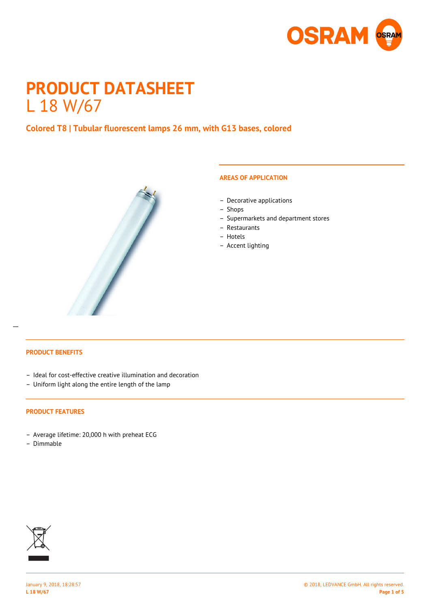

# **PRODUCT DATASHEET** L 18 W/67

# **Colored T8 | Tubular fluorescent lamps 26 mm, with G13 bases, colored**



#### **AREAS OF APPLICATION**

- Decorative applications
- Shops
- Supermarkets and department stores
- Restaurants
- Hotels
- Accent lighting

## **PRODUCT BENEFITS**

 $\overline{a}$ 

- Ideal for cost-effective creative illumination and decoration
- Uniform light along the entire length of the lamp

#### **PRODUCT FEATURES**

- Average lifetime: 20,000 h with preheat ECG
- Dimmable

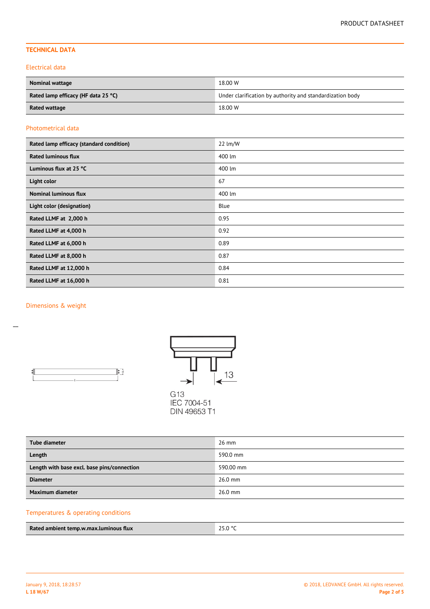## **TECHNICAL DATA**

#### Electrical data

| <b>Nominal wattage</b>              | 18.00 W                                                   |  |
|-------------------------------------|-----------------------------------------------------------|--|
| Rated lamp efficacy (HF data 25 °C) | Under clarification by authority and standardization body |  |
| Rated wattage                       | 18.00 W                                                   |  |

### Photometrical data

| Rated lamp efficacy (standard condition) | 22 lm/W |
|------------------------------------------|---------|
| <b>Rated luminous flux</b>               | 400 lm  |
| Luminous flux at 25 °C                   | 400 lm  |
| Light color                              | 67      |
| <b>Nominal luminous flux</b>             | 400 lm  |
| Light color (designation)                | Blue    |
| Rated LLMF at 2,000 h                    | 0.95    |
| Rated LLMF at 4,000 h                    | 0.92    |
| Rated LLMF at 6,000 h                    | 0.89    |
| Rated LLMF at 8,000 h                    | 0.87    |
| Rated LLMF at 12,000 h                   | 0.84    |
| Rated LLMF at 16,000 h                   | 0.81    |

### Dimensions & weight

 $\overline{a}$ 





| <b>Tube diameter</b>                        | $26$ mm   |
|---------------------------------------------|-----------|
| Length                                      | 590.0 mm  |
| Length with base excl. base pins/connection | 590.00 mm |
| <b>Diameter</b>                             | $26.0$ mm |
| Maximum diameter                            | $26.0$ mm |

# Temperatures & operating conditions

| 25.0 °C<br>Rated ambient temp.w.max.luminous flux |  |
|---------------------------------------------------|--|
|---------------------------------------------------|--|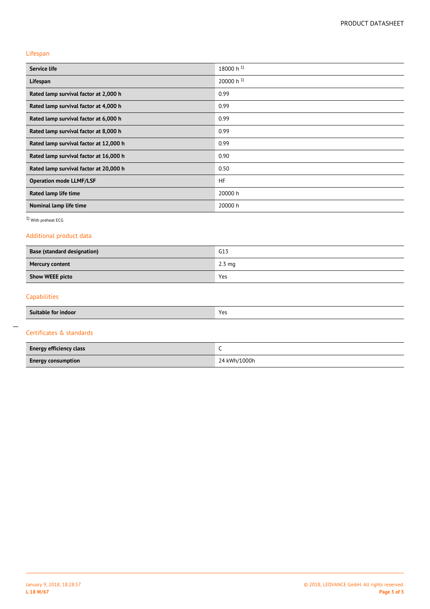### Lifespan

| Service life                           | 18000 h $^{1}$ |
|----------------------------------------|----------------|
| Lifespan                               | 20000 h $^{1}$ |
| Rated lamp survival factor at 2,000 h  | 0.99           |
| Rated lamp survival factor at 4,000 h  | 0.99           |
| Rated lamp survival factor at 6,000 h  | 0.99           |
| Rated lamp survival factor at 8,000 h  | 0.99           |
| Rated lamp survival factor at 12,000 h | 0.99           |
| Rated lamp survival factor at 16,000 h | 0.90           |
| Rated lamp survival factor at 20,000 h | 0.50           |
| <b>Operation mode LLMF/LSF</b>         | <b>HF</b>      |
| Rated lamp life time                   | 20000 h        |
| Nominal lamp life time                 | 20000 h        |

1) With preheat ECG

## Additional product data

| <b>Base (standard designation)</b> | G13              |
|------------------------------------|------------------|
| <b>Mercury content</b>             | $2.3 \text{ mg}$ |
| <b>Show WEEE picto</b>             | Yes              |
|                                    |                  |

# Capabilities

 $\overline{a}$ 

| Suitable for indoor            | Yes          |  |
|--------------------------------|--------------|--|
| Certificates & standards       |              |  |
| <b>Energy efficiency class</b> | ╰            |  |
| <b>Energy consumption</b>      | 24 kWh/1000h |  |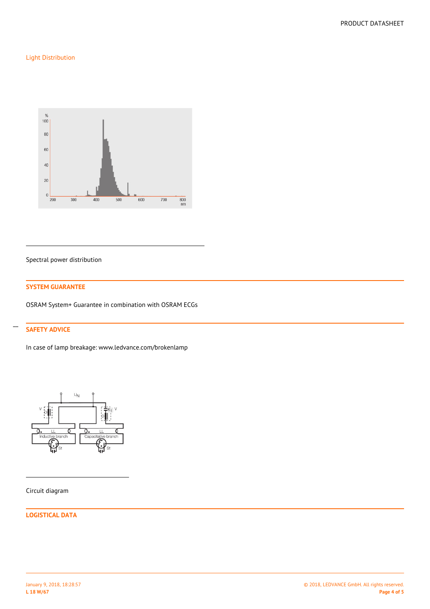## Light Distribution



Spectral power distribution

#### **SYSTEM GUARANTEE**

OSRAM System+ Guarantee in combination with OSRAM ECGs

## **SAFETY ADVICE**

 $\overline{a}$ 

In case of lamp breakage: www.ledvance.com/brokenlamp



Circuit diagram

### **LOGISTICAL DATA**